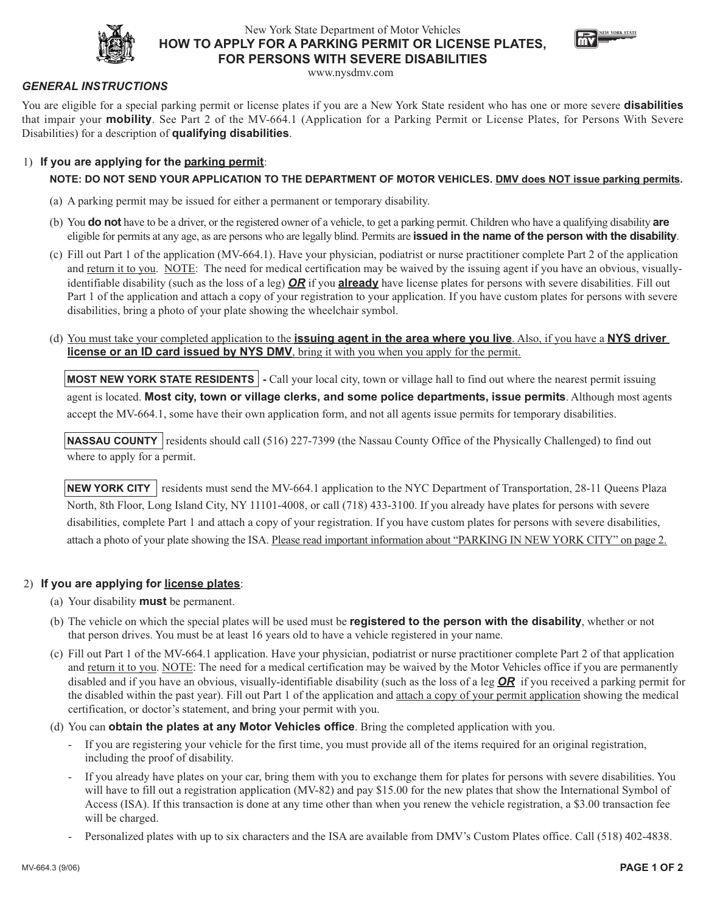

## New York State Department of Motor Vehicles **HOW TO APPLY FOR A PARKING PERMIT OR LICENSE PLATES, FOR PERSONS WITH SEVERE DISABILITIES**



www.nysdmv.com

#### *GENERAL INSTRUCTIONS*

You are eligible for a special parking permit or license plates if you are a New York State resident who has one or more severe **disabilities** that impair your **mobility**. See Part 2 of the MV-664.1 (Application for a Parking Permit or License Plates, for Persons With Severe Disabilities) for a description of **qualifying disabilities**.

#### 1) **If you are applying for the parking permit**:

#### **NOTE: DO NOT SEND YOUR APPLICATION TO THE DEPARTMENT OF MOTOR VEHICLES. DMV does NOT issue parking permits.**

- (a) A parking permit may be issued for either a permanent or temporary disability.
- (b) You **do not** have to be a driver, or the registered owner of a vehicle, to get a parking permit. Children who have a qualifying disability **are** eligible for permits at any age, as are persons who are legally blind. Permits are **issued in the name of the person with the disability**.
- (c) Fill out Part 1 of the application (MV-664.1). Have your physician, podiatrist or nurse practitioner complete Part 2 of the application and return it to you. NOTE: The need for medical certification may be waived by the issuing agent if you have an obvious, visuallyidentifiable disability (such as the loss of a leg) *OR* if you **already** have license plates for persons with severe disabilities. Fill out Part 1 of the application and attach a copy of your registration to your application. If you have custom plates for persons with severe disabilities, bring a photo of your plate showing the wheelchair symbol.
- (d) You must take your completed application to the **issuing agent in the area where you live**. Also, if you have a **NYS driver license or an ID card issued by NYS DMV**, bring it with you when you apply for the permit.

**MOST NEW YORK STATE RESIDENTS -** Call your local city, town or village hall to find out where the nearest permit issuing agent is located. **Most city, town or village clerks, and some police departments, issue permits**. Although most agents accept the MV-664.1, some have their own application form, and not all agents issue permits for temporary disabilities.

**NASSAU COUNTY** residents should call (516) 227-7399 (the Nassau County Office of the Physically Challenged) to find out where to apply for a permit.

**NEW YORK CITY** residents must send the MV-664.1 application to the NYC Department of Transportation, 28-11 Queens Plaza North, 8th Floor, Long Island City, NY 11101-4008, or call (718) 433-3100. If you already have plates for persons with severe disabilities, complete Part 1 and attach a copy of your registration. If you have custom plates for persons with severe disabilities, attach a photo of your plate showing the ISA. Please read important information about "PARKING IN NEW YORK CITY" on page 2.

#### 2) **If you are applying for license plates**:

- (a) Your disability **must** be permanent.
- (b) The vehicle on which the special plates will be used must be **registered to the person with the disability**, whether or not that person drives. You must be at least 16 years old to have a vehicle registered in your name.
- (c) Fill out Part 1 of the MV-664.1 application. Have your physician, podiatrist or nurse practitioner complete Part 2 of that application and return it to you. NOTE: The need for a medical certification may be waived by the Motor Vehicles office if you are permanently disabled and if you have an obvious, visually-identifiable disability (such as the loss of a leg *OR* if you received a parking permit for the disabled within the past year). Fill out Part 1 of the application and attach a copy of your permit application showing the medical certification, or doctor's statement, and bring your permit with you.
- (d) You can **obtain the plates at any Motor Vehicles office**. Bring the completed application with you.
	- If you are registering your vehicle for the first time, you must provide all of the items required for an original registration, including the proof of disability.
	- If you already have plates on your car, bring them with you to exchange them for plates for persons with severe disabilities. You will have to fill out a registration application (MV-82) and pay \$15.00 for the new plates that show the International Symbol of Access (ISA). If this transaction is done at any time other than when you renew the vehicle registration, a \$3.00 transaction fee will be charged.
	- Personalized plates with up to six characters and the ISA are available from DMV's Custom Plates office. Call (518) 402-4838.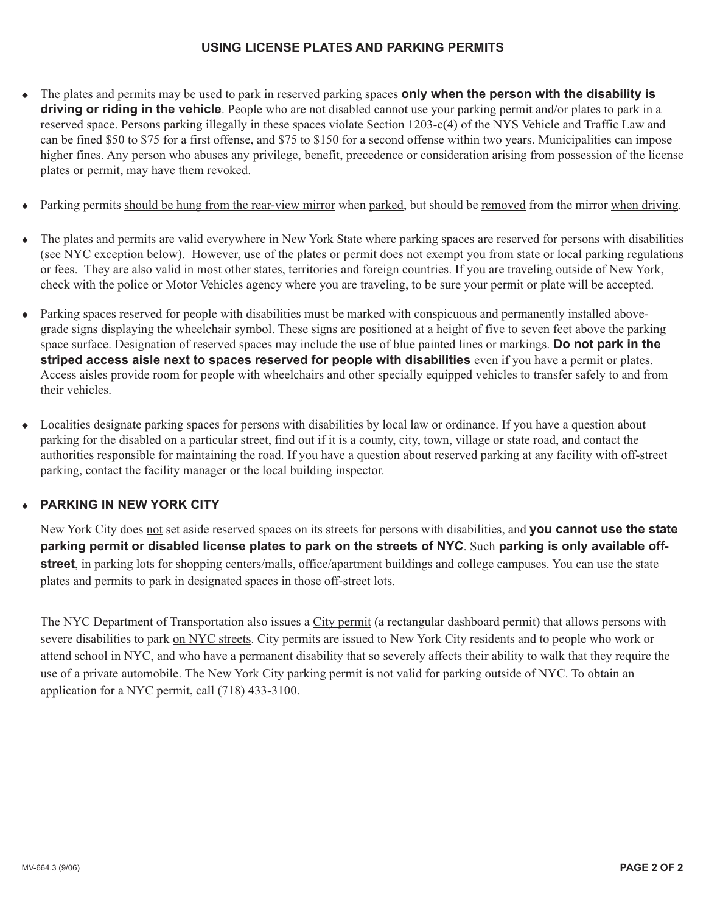## **USING LICENSE PLATES AND PARKING PERMITS**

- ◆ The plates and permits may be used to park in reserved parking spaces **only when the person with the disability is driving or riding in the vehicle**. People who are not disabled cannot use your parking permit and/or plates to park in a reserved space. Persons parking illegally in these spaces violate Section 1203-c(4) of the NYS Vehicle and Traffic Law and can be fined \$50 to \$75 for a first offense, and \$75 to \$150 for a second offense within two years. Municipalities can impose higher fines. Any person who abuses any privilege, benefit, precedence or consideration arising from possession of the license plates or permit, may have them revoked.
- Parking permits should be hung from the rear-view mirror when parked, but should be removed from the mirror when driving.
- The plates and permits are valid everywhere in New York State where parking spaces are reserved for persons with disabilities (see NYC exception below). However, use of the plates or permit does not exempt you from state or local parking regulations or fees. They are also valid in most other states, territories and foreign countries. If you are traveling outside of New York, check with the police or Motor Vehicles agency where you are traveling, to be sure your permit or plate will be accepted.
- ◆ Parking spaces reserved for people with disabilities must be marked with conspicuous and permanently installed abovegrade signs displaying the wheelchair symbol. These signs are positioned at a height of five to seven feet above the parking space surface. Designation of reserved spaces may include the use of blue painted lines or markings. **Do not park in the striped access aisle next to spaces reserved for people with disabilities** even if you have a permit or plates. Access aisles provide room for people with wheelchairs and other specially equipped vehicles to transfer safely to and from their vehicles.
- ◆ Localities designate parking spaces for persons with disabilities by local law or ordinance. If you have a question about parking for the disabled on a particular street, find out if it is a county, city, town, village or state road, and contact the authorities responsible for maintaining the road. If you have a question about reserved parking at any facility with off-street parking, contact the facility manager or the local building inspector.

## ◆ **PARKING IN NEW YORK CITY**

New York City does not set aside reserved spaces on its streets for persons with disabilities, and **you cannot use the state parking permit or disabled license plates to park on the streets of NYC**. Such **parking is only available offstreet**, in parking lots for shopping centers/malls, office/apartment buildings and college campuses. You can use the state plates and permits to park in designated spaces in those off-street lots.

The NYC Department of Transportation also issues a City permit (a rectangular dashboard permit) that allows persons with severe disabilities to park on NYC streets. City permits are issued to New York City residents and to people who work or attend school in NYC, and who have a permanent disability that so severely affects their ability to walk that they require the use of a private automobile. The New York City parking permit is not valid for parking outside of NYC. To obtain an application for a NYC permit, call (718) 433-3100.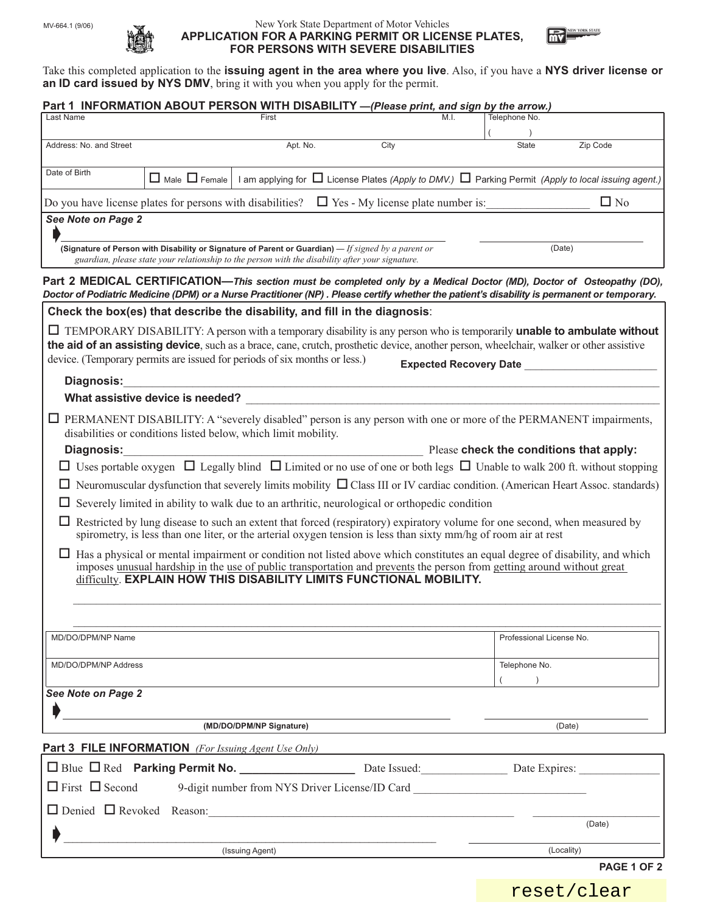

#### New York State Department of Motor Vehicles **APPLICATION FOR A PARKING PERMIT OR LICENSE PLATES, FOR PERSONS WITH SEVERE DISABILITIES**



Take this completed application to the **issuing agent in the area where you live**. Also, if you have a **NYS driver license or** an ID card issued by NYS DMV, bring it with you when you apply for the permit.

|                                                                           |                                                                |                 | Part 1 INFORMATION ABOUT PERSON WITH DISABILITY -(Please print, and sign by the arrow.)                                                                                                                                                                                                                                              |                               |                                         |
|---------------------------------------------------------------------------|----------------------------------------------------------------|-----------------|--------------------------------------------------------------------------------------------------------------------------------------------------------------------------------------------------------------------------------------------------------------------------------------------------------------------------------------|-------------------------------|-----------------------------------------|
| Last Name                                                                 |                                                                | First           | M.I.                                                                                                                                                                                                                                                                                                                                 | Telephone No.                 |                                         |
| Address: No. and Street                                                   |                                                                | Apt. No.        | City                                                                                                                                                                                                                                                                                                                                 | <b>State</b>                  | Zip Code                                |
| Date of Birth                                                             |                                                                |                 | $\Box$ Male $\Box$ Female   I am applying for $\Box$ License Plates (Apply to DMV.) $\Box$ Parking Permit (Apply to local issuing agent.)                                                                                                                                                                                            |                               |                                         |
|                                                                           | Do you have license plates for persons with disabilities?      |                 | $\Box$ Yes - My license plate number is:                                                                                                                                                                                                                                                                                             |                               | $\Box$ No                               |
| See Note on Page 2                                                        |                                                                |                 |                                                                                                                                                                                                                                                                                                                                      |                               |                                         |
|                                                                           |                                                                |                 | (Signature of Person with Disability or Signature of Parent or Guardian) $-$ If signed by a parent or<br>guardian, please state your relationship to the person with the disability after your signature.                                                                                                                            |                               | (Date)                                  |
|                                                                           |                                                                |                 | Part 2 MEDICAL CERTIFICATION—This section must be completed only by a Medical Doctor (MD), Doctor of Osteopathy (DO),<br>Doctor of Podiatric Medicine (DPM) or a Nurse Practitioner (NP). Please certify whether the patient's disability is permanent or temporary.                                                                 |                               |                                         |
|                                                                           |                                                                |                 | Check the box(es) that describe the disability, and fill in the diagnosis:                                                                                                                                                                                                                                                           |                               |                                         |
|                                                                           |                                                                |                 | $\Box$ TEMPORARY DISABILITY: A person with a temporary disability is any person who is temporarily <b>unable to ambulate without</b>                                                                                                                                                                                                 |                               |                                         |
| device. (Temporary permits are issued for periods of six months or less.) |                                                                |                 | the aid of an assisting device, such as a brace, cane, crutch, prosthetic device, another person, wheelchair, walker or other assistive                                                                                                                                                                                              |                               |                                         |
|                                                                           |                                                                |                 |                                                                                                                                                                                                                                                                                                                                      | <b>Expected Recovery Date</b> |                                         |
| <b>Diagnosis:</b>                                                         | What assistive device is needed?                               |                 |                                                                                                                                                                                                                                                                                                                                      |                               |                                         |
|                                                                           |                                                                |                 | $\Box$ PERMANENT DISABILITY: A "severely disabled" person is any person with one or more of the PERMANENT impairments,                                                                                                                                                                                                               |                               |                                         |
|                                                                           | disabilities or conditions listed below, which limit mobility. |                 |                                                                                                                                                                                                                                                                                                                                      |                               |                                         |
| <b>Diagnosis:</b>                                                         |                                                                |                 |                                                                                                                                                                                                                                                                                                                                      |                               | Please check the conditions that apply: |
|                                                                           |                                                                |                 | $\Box$ Uses portable oxygen $\Box$ Legally blind $\Box$ Limited or no use of one or both legs $\Box$ Unable to walk 200 ft. without stopping                                                                                                                                                                                         |                               |                                         |
|                                                                           |                                                                |                 | $\Box$ Neuromuscular dysfunction that severely limits mobility $\Box$ Class III or IV cardiac condition. (American Heart Assoc. standards)                                                                                                                                                                                           |                               |                                         |
|                                                                           |                                                                |                 | $\Box$ Severely limited in ability to walk due to an arthritic, neurological or orthopedic condition                                                                                                                                                                                                                                 |                               |                                         |
|                                                                           |                                                                |                 | $\Box$ Restricted by lung disease to such an extent that forced (respiratory) expiratory volume for one second, when measured by<br>spirometry, is less than one liter, or the arterial oxygen tension is less than sixty mm/hg of room air at rest                                                                                  |                               |                                         |
|                                                                           |                                                                |                 | $\Box$ Has a physical or mental impairment or condition not listed above which constitutes an equal degree of disability, and which<br>imposes unusual hardship in the use of public transportation and prevents the person from getting around without great<br>difficulty. EXPLAIN HOW THIS DISABILITY LIMITS FUNCTIONAL MOBILITY. |                               |                                         |
|                                                                           |                                                                |                 |                                                                                                                                                                                                                                                                                                                                      |                               |                                         |
| MD/DO/DPM/NP Name                                                         |                                                                |                 |                                                                                                                                                                                                                                                                                                                                      |                               | Professional License No.                |
| MD/DO/DPM/NP Address                                                      |                                                                |                 |                                                                                                                                                                                                                                                                                                                                      | Telephone No.                 |                                         |
|                                                                           |                                                                |                 |                                                                                                                                                                                                                                                                                                                                      |                               |                                         |
| See Note on Page 2                                                        |                                                                |                 |                                                                                                                                                                                                                                                                                                                                      |                               |                                         |
| (MD/DO/DPM/NP Signature)                                                  |                                                                |                 |                                                                                                                                                                                                                                                                                                                                      |                               | (Date)                                  |
| <b>Part 3 FILE INFORMATION</b> (For Issuing Agent Use Only)               |                                                                |                 |                                                                                                                                                                                                                                                                                                                                      |                               |                                         |
|                                                                           |                                                                |                 |                                                                                                                                                                                                                                                                                                                                      |                               |                                         |
|                                                                           |                                                                |                 | $\Box$ First $\Box$ Second 9-digit number from NYS Driver License/ID Card                                                                                                                                                                                                                                                            |                               |                                         |
|                                                                           |                                                                |                 |                                                                                                                                                                                                                                                                                                                                      |                               |                                         |
|                                                                           |                                                                |                 |                                                                                                                                                                                                                                                                                                                                      |                               | (Date)                                  |
|                                                                           |                                                                | (Issuing Agent) |                                                                                                                                                                                                                                                                                                                                      |                               | (Locality)                              |
|                                                                           |                                                                |                 |                                                                                                                                                                                                                                                                                                                                      |                               | PAGE 1 OF 2                             |